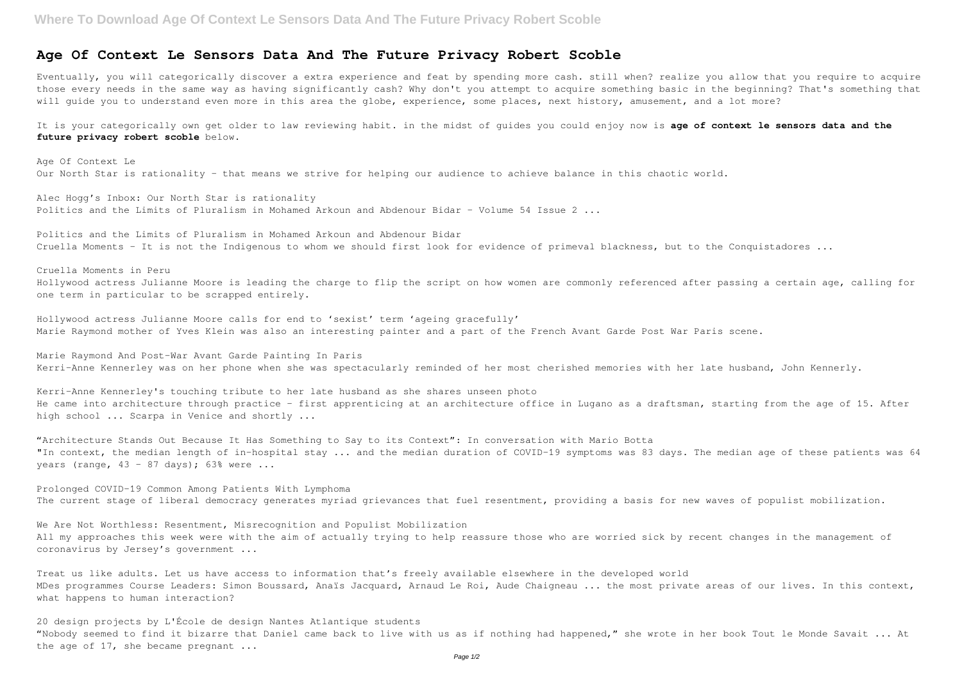## **Where To Download Age Of Context Le Sensors Data And The Future Privacy Robert Scoble**

Eventually, you will categorically discover a extra experience and feat by spending more cash. still when? realize you allow that you require to acquire those every needs in the same way as having significantly cash? Why don't you attempt to acquire something basic in the beginning? That's something that will guide you to understand even more in this area the globe, experience, some places, next history, amusement, and a lot more?

## **Age Of Context Le Sensors Data And The Future Privacy Robert Scoble**

Age Of Context Le Our North Star is rationality - that means we strive for helping our audience to achieve balance in this chaotic world.

Alec Hogg's Inbox: Our North Star is rationality Politics and the Limits of Pluralism in Mohamed Arkoun and Abdenour Bidar - Volume 54 Issue 2 ...

Politics and the Limits of Pluralism in Mohamed Arkoun and Abdenour Bidar Cruella Moments - It is not the Indigenous to whom we should first look for evidence of primeval blackness, but to the Conquistadores ...

It is your categorically own get older to law reviewing habit. in the midst of guides you could enjoy now is **age of context le sensors data and the future privacy robert scoble** below.

"Architecture Stands Out Because It Has Something to Say to its Context": In conversation with Mario Botta "In context, the median length of in-hospital stay ... and the median duration of COVID-19 symptoms was 83 days. The median age of these patients was 64 years (range,  $43 - 87$  days);  $63\frac{8}{3}$  were ...

Prolonged COVID-19 Common Among Patients With Lymphoma The current stage of liberal democracy generates myriad grievances that fuel resentment, providing a basis for new waves of populist mobilization.

Cruella Moments in Peru Hollywood actress Julianne Moore is leading the charge to flip the script on how women are commonly referenced after passing a certain age, calling for one term in particular to be scrapped entirely.

Hollywood actress Julianne Moore calls for end to 'sexist' term 'ageing gracefully' Marie Raymond mother of Yves Klein was also an interesting painter and a part of the French Avant Garde Post War Paris scene.

20 design projects by L'École de design Nantes Atlantique students "Nobody seemed to find it bizarre that Daniel came back to live with us as if nothing had happened," she wrote in her book Tout le Monde Savait ... At the age of 17, she became pregnant ...

Marie Raymond And Post-War Avant Garde Painting In Paris Kerri-Anne Kennerley was on her phone when she was spectacularly reminded of her most cherished memories with her late husband, John Kennerly.

Kerri-Anne Kennerley's touching tribute to her late husband as she shares unseen photo He came into architecture through practice - first apprenticing at an architecture office in Lugano as a draftsman, starting from the age of 15. After high school ... Scarpa in Venice and shortly ...

We Are Not Worthless: Resentment, Misrecognition and Populist Mobilization All my approaches this week were with the aim of actually trying to help reassure those who are worried sick by recent changes in the management of coronavirus by Jersey's government ...

Treat us like adults. Let us have access to information that's freely available elsewhere in the developed world MDes programmes Course Leaders: Simon Boussard, Anaïs Jacquard, Arnaud Le Roi, Aude Chaigneau ... the most private areas of our lives. In this context, what happens to human interaction?